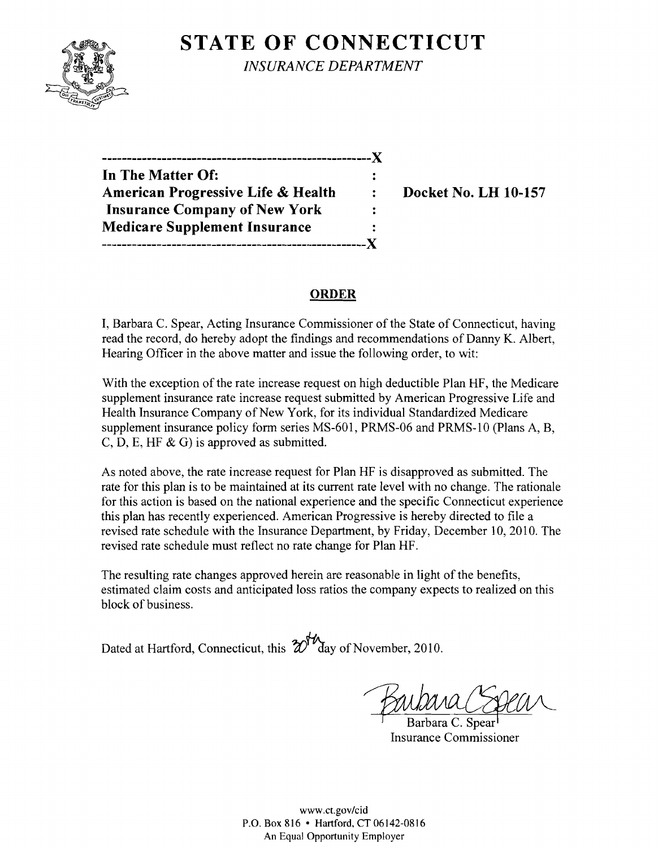# **STATE OF CONNECTICUT**



*INSURANCE DEPARTMENT* 

| In The Matter Of:                    |   |
|--------------------------------------|---|
| American Progressive Life & Health   | ۰ |
| <b>Insurance Company of New York</b> |   |
| <b>Medicare Supplement Insurance</b> |   |
|                                      |   |

**Docket No. LH 10-157** 

#### **ORDER**

I, Barbara C. Spear, Acting Insurance Commissioner of the State of Connecticut, having read the record, do hereby adopt the findings and recommendations of Danny K. Albert, Hearing Officer in the above matter and issue the following order, to wit:

With the exception of the rate increase request on high deductible Plan HF, the Medicare supplement insurance rate increase request submitted by American Progressive Life and Health Insurance Company of New York, for its individual Standardized Medicare supplement insurance policy form series MS-601, PRMS-06 and PRMS-10 (Plans A, B, C, D, E, HF  $\&$  G) is approved as submitted.

As noted above, the rate increase request for Plan HF is disapproved as submitted. The rate for this plan is to be maintained at its current rate level with no change. The rationale for this action is based on the national experience and the specific Connecticut experience this plan has recently experienced. American Progressive is hereby directed to file a revised rate schedule with the Insurance Department, by Friday, December 10, 2010. The revised rate schedule must reflect no rate change for Plan HF.

The resulting rate changes approved herein are reasonable in light of the benefits, estimated claim costs and anticipated loss ratios the company expects to realized on this block of business.

Dated at Hartford, Connecticut, this  $\mathcal{W}^{\mathcal{W}}$  day of November, 2010.

Insurance Commissioner

www.ct.gov/cid P.O. Box 816 • Hartford, CT 06142-0816 An Equal Opportunity Employer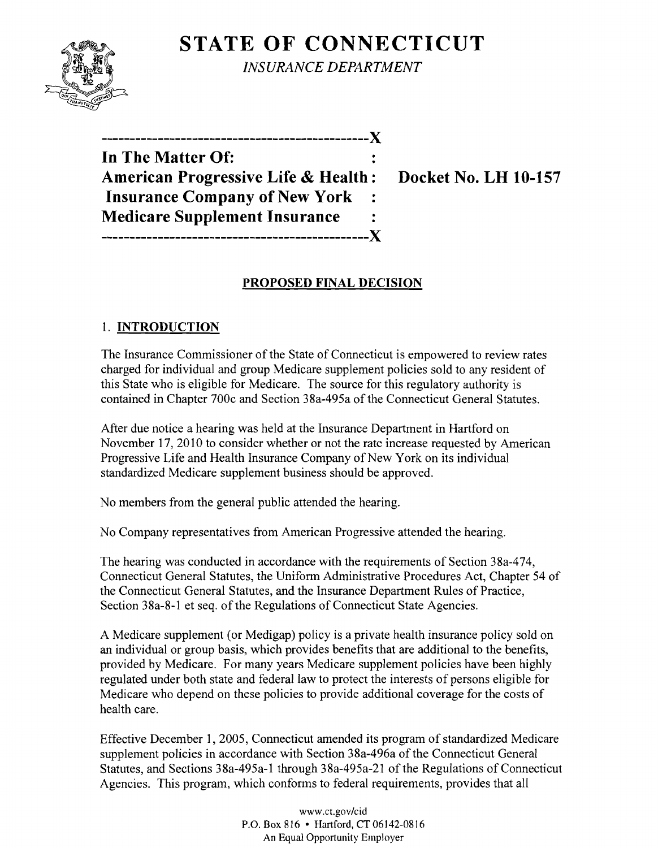# **STATE OF CONNECTICUT**



*INSURANCE DEPARTMENT* 

**-----------------------------------------------)(** 

| In The Matter Of:                              |  |
|------------------------------------------------|--|
| <b>American Progressive Life &amp; Health:</b> |  |
| <b>Insurance Company of New York</b>           |  |
| <b>Medicare Supplement Insurance</b>           |  |
|                                                |  |

**Docket No. LH 10-157** 

### **PROPOSED FINAL DECISION**

## 1. **INTRODUCTION**

The Insurance Commissioner of the State of Connecticut is empowered to review rates charged for individual and group Medicare supplement policies sold to any resident of this State who is eligible for Medicare. The source for this regulatory authority is contained in Chapter 700c and Section 38a-495a of the Connecticut General Statutes.

After due notice a hearing was held at the Insurance Department in Hartford on November 17,2010 to consider whether or not the rate increase requested by American Progressive Life and Health Insurance Company of New York on its individual standardized Medicare supplement business should be approved.

No members from the general public attended the hearing.

No Company representatives from American Progressive attended the hearing.

The hearing was conducted in accordance with the requirements of Section 38a-474, Connecticut General Statutes, the Uniform Administrative Procedures Act, Chapter 54 of the Connecticut General Statutes, and the Insurance Department Rules of Practice, Section 38a-8-1 et seq. of the Regulations of Connecticut State Agencies.

A Medicare supplement (or Medigap) policy is a private health insurance policy sold on an individual or group basis, which provides benefits that are additional to the benefits, provided by Medicare. For many years Medicare supplement policies have been highly regulated under both state and federal law to protect the interests of persons eligible for Medicare who depend on these policies to provide additional coverage for the costs of health care.

Effective December 1, 2005, Connecticut amended its program of standardized Medicare supplement policies in accordance with Section 38a-496a of the Connecticut General Statutes, and Sections 38a-495a-1 through 38a-495a-21 of the Regulations of Connecticut Agencies. This program, which conforms to federal requirements, provides that all

> www.ct.gov/cid P.O. Box 816 • Hartford, CT 06142-0816 An Equal Opportunity Employer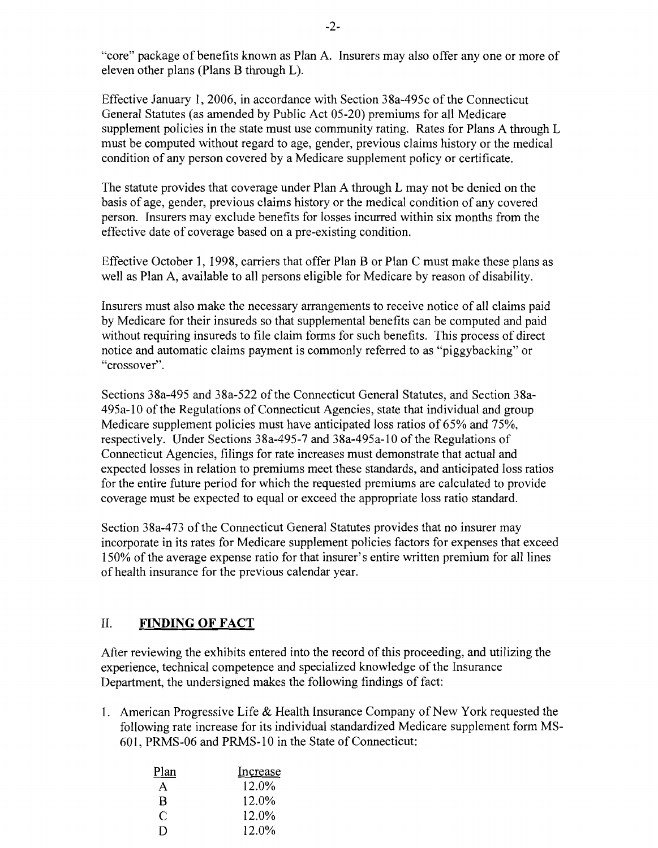"core" package of benefits known as Plan A. Insurers may also offer anyone or more of eleven other plans (Plans B through L).

Effective January 1,2006, in accordance with Section 38a-495c of the Connecticut General Statutes (as amended by Public Act 05-20) premiums for all Medicare supplement policies in the state must use community rating. Rates for Plans A through L must be computed without regard to age, gender, previous claims history or the medical condition of any person covered by a Medicare supplement policy or certificate.

The statute provides that coverage under Plan A through L may not be denied on the basis of age, gender, previous claims history or the medical condition of any covered person. Insurers may exclude benefits for losses incurred within six months from the effective date of coverage based on a pre-existing condition.

Effective October 1, 1998, carriers that offer Plan B or Plan C must make these plans as well as Plan A, available to all persons eligible for Medicare by reason of disability.

Insurers must also make the necessary arrangements to receive notice of all claims paid by Medicare for their insureds so that supplemental benefits can be computed and paid without requiring insureds to file claim forms for such benefits. This process of direct notice and automatic claims payment is commonly referred to as "piggybacking" or "crossover".

Sections 38a-495 and 38a-522 of the Connecticut General Statutes, and Section 38a-495a-10 ofthe Regulations of Connecticut Agencies, state that individual and group Medicare supplement policies must have anticipated loss ratios of 65% and 75%, respectively. Under Sections 38a-495-7 and 38a-495a-10 of the Regulations of Connecticut Agencies, filings for rate increases must demonstrate that actual and expected losses in relation to premiums meet these standards, and anticipated loss ratios for the entire future period for which the requested premiums are calculated to provide coverage must be expected to equal or exceed the appropriate loss ratio standard.

Section 38a-473 of the Connecticut General Statutes provides that no insurer may incorporate in its rates for Medicare supplement policies factors for expenses that exceed 150% of the average expense ratio for that insurer's entire written premium for all lines of health insurance for the previous calendar year.

#### II. **FINDING OF FACT**

After reviewing the exhibits entered into the record of this proceeding, and utilizing the experience, technical competence and specialized knowledge of the Insurance Department, the undersigned makes the following findings of fact:

1. American Progressive Life  $&$  Health Insurance Company of New York requested the following rate increase for its individual standardized Medicare supplement form MS-601, PRMS-06 and PRMS-10 in the State of Connecticut:

| Plan | Increase |
|------|----------|
| A    | 12.0%    |
| B    | 12.0%    |
| C    | 12.0%    |
| Ð    | 12.0%    |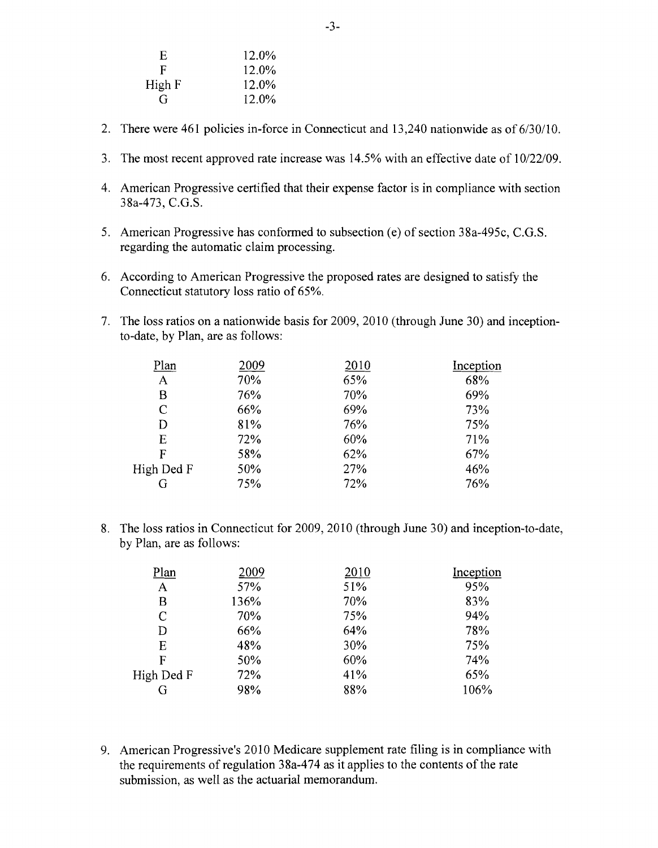| E      | 12.0% |
|--------|-------|
| F      | 12.0% |
| High F | 12.0% |
| G      | 12.0% |

- 2. There were 461 policies in-force in Connecticut and 13,240 nationwide as of 6/30/10.
- 3. The most recent approved rate increase was 14.5% with an effective date of 10/22/09.
- 4. American Progressive certified that their expense factor is in compliance with section 38a-473, C.G.S.
- 5. American Progressive has conformed to subsection (e) of section 38a-495c, C.G.S. regarding the automatic claim processing.
- 6. According to American Progressive the proposed rates are designed to satisfy the Connecticut statutory loss ratio of 65%.
- 7. The loss ratios on a nationwide basis for 2009, 2010 (through June 30) and inceptionto-date, by Plan, are as follows:

| <u>Plan</u>  | 2009 | 2010 | Inception |
|--------------|------|------|-----------|
| $\mathbf{A}$ | 70%  | 65%  | 68%       |
| В            | 76%  | 70%  | 69%       |
| C            | 66%  | 69%  | 73%       |
| D            | 81%  | 76%  | 75%       |
| E            | 72%  | 60%  | 71%       |
| F            | 58%  | 62%  | 67%       |
| High Ded F   | 50%  | 27%  | 46%       |
|              | 75%  | 72%  | 76%       |

8. The loss ratios in Connecticut for 2009, 2010 (through June 30) and inception-to-date, by Plan, are as follows:

| Plan         | 2009 | 2010 | Inception |
|--------------|------|------|-----------|
| A            | 57%  | 51%  | 95%       |
| В            | 136% | 70%  | 83%       |
| $\mathsf{C}$ | 70%  | 75%  | 94%       |
| D            | 66%  | 64%  | 78%       |
| E            | 48%  | 30%  | 75%       |
| F            | 50%  | 60%  | 74%       |
| High Ded F   | 72%  | 41%  | 65%       |
| G            | 98%  | 88%  | 106%      |

9. American Progressive's 2010 Medicare supplement rate filing is in compliance with the requirements of regulation  $38a-474$  as it applies to the contents of the rate submission, as well as the actuarial memorandum.